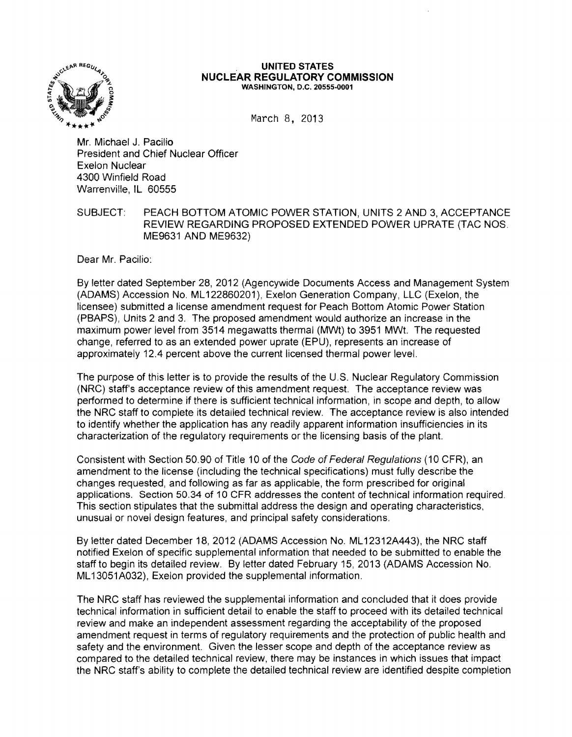

## **UNITED STATES NUCLEAR REGULATORY COMMISSION** WASHINGTON, D.C. 20555·0001

March 8, 2013

Mr. Michael J. Pacilio President and Chief Nuclear Officer Exelon Nuclear 4300 Winfield Road Warrenville, IL 60555

## SUBJECT: PEACH BOTTOM ATOMIC POWER STATION, UNITS 2 AND 3, ACCEPTANCE REVIEW REGARDING PROPOSED EXTENDED POWER UPRATE (TAC NOS. ME9631 AND ME9632)

Dear Mr. Pacilio:

By letter dated September 28, 2012 (Agencywide Documents Access and Management System (ADAMS) Accession No. ML 122860201), Exelon Generation Company, LLC (Exelon, the licensee) submitted a license amendment request for Peach Bottom Atomic Power Station (PBAPS), Units 2 and 3. The proposed amendment would authorize an increase in the maximum power level from 3514 megawatts thermal (MWt) to 3951 MWt. The requested change, referred to as an extended power uprate (EPU), represents an increase of approximately 12.4 percent above the current licensed thermal power level.

The purpose of this letter is to provide the results of the U.S. Nuclear Regulatory Commission (NRC) staff's acceptance review of this amendment request. The acceptance review was performed to determine if there is sufficient technical information, in scope and depth, to allow the NRC staff to complete its detailed technical review. The acceptance review is also intended to identify whether the application has any readily apparent information insufficiencies in its characterization of the regulatory requirements or the licensing basis of the plant.

Consistent with Section 50.90 of Title 10 of the Code of Federal Regulations (10 CFR), an amendment to the license (including the technical specifications) must fully describe the changes requested, and following as far as applicable, the form prescribed for original applications. Section *50.34* of 10 CFR addresses the content of technical information required. This section stipulates that the submittal address the design and operating characteristics, unusual or novel design features, and principal safety considerations.

By letter dated December 18, 2012 (ADAMS Accession No. ML 12312A443), the NRC staff notified Exelon of specific supplemental information that needed to be submitted to enable the staff to begin its detailed review. By letter dated February 15, 2013 (ADAMS Accession No. ML 13051A032), Exelon provided the supplemental information.

The NRC staff has reviewed the supplemental information and concluded that it does provide technical information in sufficient detail to enable the staff to proceed with its detailed technical review and make an independent assessment regarding the acceptability of the proposed amendment request in terms of regulatory requirements and the protection of public health and safety and the environment. Given the lesser scope and depth of the acceptance review as compared to the detailed technical review, there may be instances in which issues that impact the NRC staff's ability to complete the detailed technical review are identified despite completion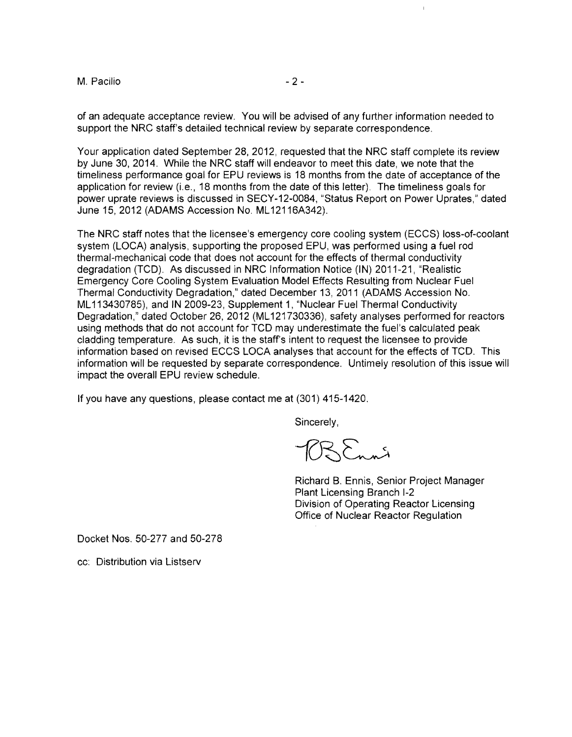M. Pacilio - 2

of an adequate acceptance review. You will be advised of any further information needed to support the NRC staff's detailed technical review by separate correspondence.

Your application dated September 28,2012, requested that the NRC staff complete its review by June 30, 2014. While the NRC staff will endeavor to meet this date, we note that the timeliness performance goal for EPU reviews is 18 months from the date of acceptance of the application for review (i.e., 18 months from the date of this letter). The timeliness goals for power uprate reviews is discussed in SECY-12-0084, "Status Report on Power Uprates," dated June 15,2012 (ADAMS Accession No. ML 12116A342).

The NRC staff notes that the licensee's emergency core cooling system (ECCS) loss-of-coolant system (LOCA) analysis, supporting the proposed EPU, was performed using a fuel rod thermal-mechanical code that does not account for the effects of thermal conductivity degradation (TCD). As discussed in NRC Information Notice (IN) 2011-21, "Realistic Emergency Core Cooling System Evaluation Model Effects Resulting from Nuclear Fuel Thermal Conductivity Degradation," dated December 13,2011 (ADAMS Accession No. ML113430785), and **IN** 2009-23, Supplement 1, "Nuclear Fuel Thermal Conductivity Degradation," dated October 26, 2012 (ML121730336), safety analyses performed for reactors using methods that do not account for TCD may underestimate the fuel's calculated peak cladding temperature. As such, it is the staff's intent to request the licensee to provide information based on revised ECCS LOCA analyses that account for the effects of TCD. This information will be requested by separate correspondence. Untimely resolution of this issue will impact the overall EPU review schedule.

If you have any questions, please contact me at (301) 415-1420,

Sincerely,

 $BR_{m,n}$ 

Richard B. Ennis, Senior Project Manager Plant Licensing Branch 1-2 Division of Operating Reactor Licensing Office of Nuclear Reactor Regulation

Docket Nos. 50-277 and 50-278

cc: Distribution via Listserv